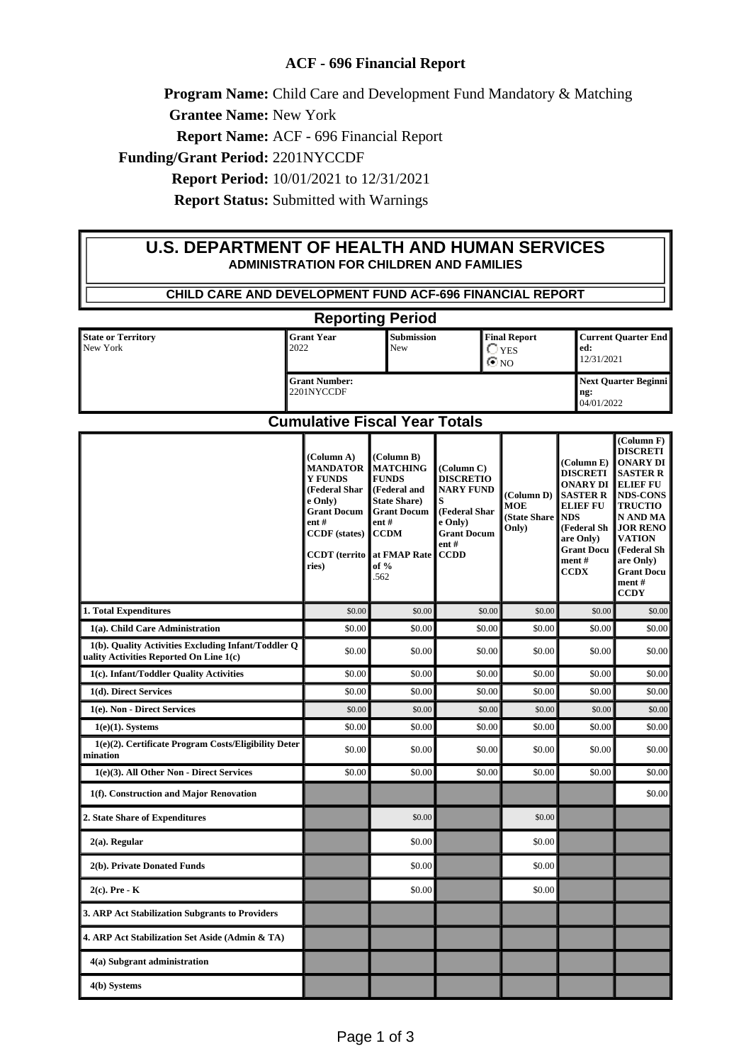## **ACF - 696 Financial Report**

**Program Name:** Child Care and Development Fund Mandatory & Matching

**Grantee Name:** New York

**Report Name:** ACF - 696 Financial Report

**Funding/Grant Period:** 2201NYCCDF

**Report Period:** 10/01/2021 to 12/31/2021

**Report Status:** Submitted with Warnings

## **U.S. DEPARTMENT OF HEALTH AND HUMAN SERVICES ADMINISTRATION FOR CHILDREN AND FAMILIES**

| CHILD CARE AND DEVELOPMENT FUND ACF-696 FINANCIAL REPORT                                       |                                                                                                                                                                    |                                                                                                                                                                    |                                                                                                                                     |                                                   |                                                                                                                                                                               |                                                                                                                                                                                                                                               |  |
|------------------------------------------------------------------------------------------------|--------------------------------------------------------------------------------------------------------------------------------------------------------------------|--------------------------------------------------------------------------------------------------------------------------------------------------------------------|-------------------------------------------------------------------------------------------------------------------------------------|---------------------------------------------------|-------------------------------------------------------------------------------------------------------------------------------------------------------------------------------|-----------------------------------------------------------------------------------------------------------------------------------------------------------------------------------------------------------------------------------------------|--|
| <b>Reporting Period</b>                                                                        |                                                                                                                                                                    |                                                                                                                                                                    |                                                                                                                                     |                                                   |                                                                                                                                                                               |                                                                                                                                                                                                                                               |  |
| <b>State or Territory</b><br>New York                                                          | <b>Grant Year</b><br>2022                                                                                                                                          |                                                                                                                                                                    | <b>Final Report</b><br>Submission<br>New<br>$\bigcirc$ yes<br>$\odot$ NO                                                            |                                                   | ed:                                                                                                                                                                           | <b>Current Quarter End</b><br>12/31/2021                                                                                                                                                                                                      |  |
| <b>Grant Number:</b><br>2201NYCCDF                                                             |                                                                                                                                                                    |                                                                                                                                                                    |                                                                                                                                     |                                                   | ng:                                                                                                                                                                           | <b>Next Quarter Beginni</b><br>04/01/2022                                                                                                                                                                                                     |  |
| <b>Cumulative Fiscal Year Totals</b>                                                           |                                                                                                                                                                    |                                                                                                                                                                    |                                                                                                                                     |                                                   |                                                                                                                                                                               |                                                                                                                                                                                                                                               |  |
|                                                                                                | (Column A)<br><b>MANDATOR</b><br><b>Y FUNDS</b><br>(Federal Shar<br>e Only)<br><b>Grant Docum</b><br>ent#<br><b>CCDF</b> (states)<br><b>CCDT</b> (territo<br>ries) | (Column B)<br><b>MATCHING</b><br><b>FUNDS</b><br>(Federal and<br><b>State Share</b> )<br><b>Grant Docum</b><br>ent#<br><b>CCDM</b><br>at FMAP Rate<br>of %<br>.562 | (Column C)<br><b>DISCRETIO</b><br><b>NARY FUND</b><br>S<br>(Federal Shar<br>e Only)<br><b>Grant Docum</b><br>$ent$ #<br><b>CCDD</b> | (Column D)<br><b>MOE</b><br>(State Share<br>Only) | (Column E)<br><b>DISCRETI</b><br><b>ONARY DI</b><br><b>SASTER R</b><br><b>ELIEF FU</b><br><b>NDS</b><br>(Federal Sh<br>are Only)<br><b>Grant Docu</b><br>ment#<br><b>CCDX</b> | (Column F)<br><b>DISCRETI</b><br>ONARY DI<br><b>SASTER R</b><br><b>ELIEF FU</b><br><b>NDS-CONS</b><br><b>TRUCTIO</b><br>N AND MA<br><b>JOR RENO</b><br><b>VATION</b><br>(Federal Sh<br>are Only)<br><b>Grant Docu</b><br>ment#<br><b>CCDY</b> |  |
| 1. Total Expenditures                                                                          | \$0.00                                                                                                                                                             | \$0.00                                                                                                                                                             | \$0.00                                                                                                                              | \$0.00                                            | \$0.00                                                                                                                                                                        | \$0.00                                                                                                                                                                                                                                        |  |
| 1(a). Child Care Administration                                                                | \$0.00                                                                                                                                                             | \$0.00                                                                                                                                                             | \$0.00                                                                                                                              | \$0.00                                            | \$0.00                                                                                                                                                                        | \$0.00                                                                                                                                                                                                                                        |  |
| 1(b). Quality Activities Excluding Infant/Toddler Q<br>uality Activities Reported On Line 1(c) | \$0.00                                                                                                                                                             | \$0.00                                                                                                                                                             | \$0.00                                                                                                                              | \$0.00                                            | \$0.00                                                                                                                                                                        | \$0.00                                                                                                                                                                                                                                        |  |
| 1(c). Infant/Toddler Quality Activities                                                        | \$0.00                                                                                                                                                             | \$0.00                                                                                                                                                             | \$0.00                                                                                                                              | \$0.00                                            | \$0.00                                                                                                                                                                        | \$0.00                                                                                                                                                                                                                                        |  |
| 1(d). Direct Services                                                                          | \$0.00                                                                                                                                                             | \$0.00                                                                                                                                                             | \$0.00                                                                                                                              | \$0.00                                            | \$0.00                                                                                                                                                                        | \$0.00                                                                                                                                                                                                                                        |  |
| 1(e). Non - Direct Services                                                                    | \$0.00                                                                                                                                                             | \$0.00                                                                                                                                                             | \$0.00                                                                                                                              | \$0.00                                            | \$0.00                                                                                                                                                                        | \$0.00                                                                                                                                                                                                                                        |  |
| $1(e)(1)$ . Systems<br>1(e)(2). Certificate Program Costs/Eligibility Deter<br>mination        | \$0.00<br>\$0.00                                                                                                                                                   | \$0.00<br>\$0.00                                                                                                                                                   | \$0.00<br>\$0.00                                                                                                                    | \$0.00<br>\$0.00                                  | \$0.00<br>\$0.00                                                                                                                                                              | \$0.00<br>\$0.00                                                                                                                                                                                                                              |  |
| 1(e)(3). All Other Non - Direct Services                                                       | \$0.00                                                                                                                                                             | \$0.00                                                                                                                                                             | \$0.00                                                                                                                              | \$0.00                                            | \$0.00                                                                                                                                                                        | \$0.00                                                                                                                                                                                                                                        |  |
| 1(f). Construction and Major Renovation                                                        |                                                                                                                                                                    |                                                                                                                                                                    |                                                                                                                                     |                                                   |                                                                                                                                                                               | \$0.00                                                                                                                                                                                                                                        |  |
| 2. State Share of Expenditures                                                                 |                                                                                                                                                                    | \$0.00                                                                                                                                                             |                                                                                                                                     | \$0.00                                            |                                                                                                                                                                               |                                                                                                                                                                                                                                               |  |
| $2(a)$ . Regular                                                                               |                                                                                                                                                                    | \$0.00                                                                                                                                                             |                                                                                                                                     | \$0.00                                            |                                                                                                                                                                               |                                                                                                                                                                                                                                               |  |
| 2(b). Private Donated Funds                                                                    |                                                                                                                                                                    | \$0.00                                                                                                                                                             |                                                                                                                                     | \$0.00                                            |                                                                                                                                                                               |                                                                                                                                                                                                                                               |  |
| $2(c)$ . Pre - K                                                                               |                                                                                                                                                                    | \$0.00                                                                                                                                                             |                                                                                                                                     | \$0.00                                            |                                                                                                                                                                               |                                                                                                                                                                                                                                               |  |
| 3. ARP Act Stabilization Subgrants to Providers                                                |                                                                                                                                                                    |                                                                                                                                                                    |                                                                                                                                     |                                                   |                                                                                                                                                                               |                                                                                                                                                                                                                                               |  |
| 4. ARP Act Stabilization Set Aside (Admin & TA)                                                |                                                                                                                                                                    |                                                                                                                                                                    |                                                                                                                                     |                                                   |                                                                                                                                                                               |                                                                                                                                                                                                                                               |  |
| 4(a) Subgrant administration                                                                   |                                                                                                                                                                    |                                                                                                                                                                    |                                                                                                                                     |                                                   |                                                                                                                                                                               |                                                                                                                                                                                                                                               |  |
| 4(b) Systems                                                                                   |                                                                                                                                                                    |                                                                                                                                                                    |                                                                                                                                     |                                                   |                                                                                                                                                                               |                                                                                                                                                                                                                                               |  |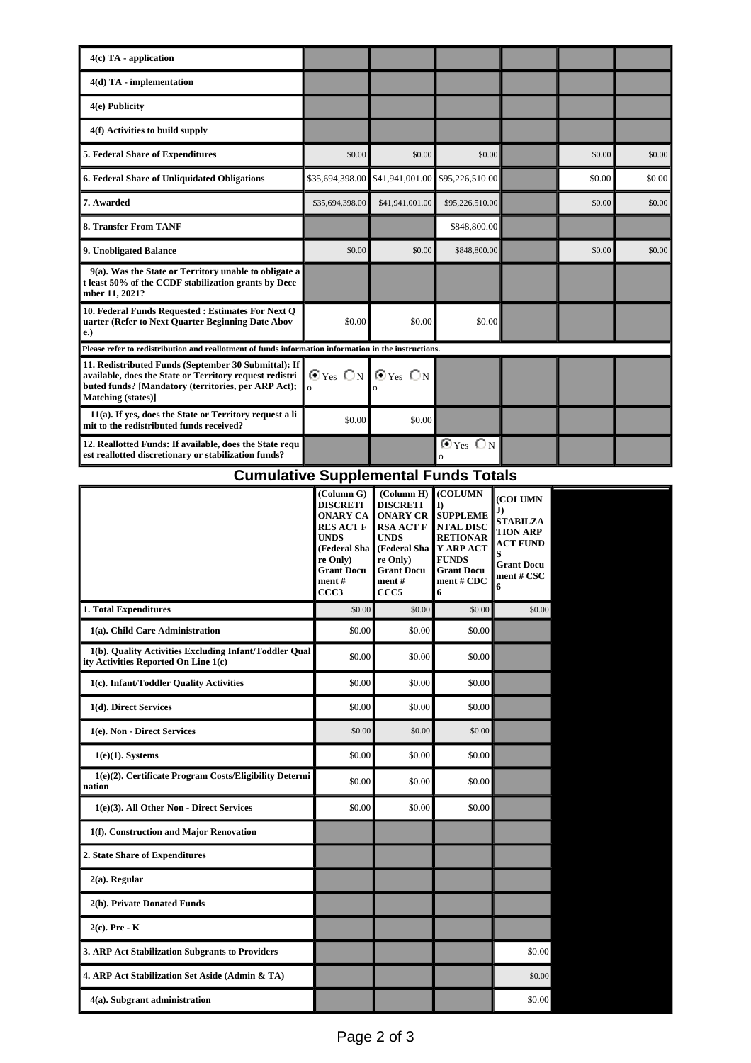| $4(c)$ TA - application                                                                                                                                                                      |                                                                  |                 |                                                 |  |        |        |
|----------------------------------------------------------------------------------------------------------------------------------------------------------------------------------------------|------------------------------------------------------------------|-----------------|-------------------------------------------------|--|--------|--------|
| $4(d)$ TA - implementation                                                                                                                                                                   |                                                                  |                 |                                                 |  |        |        |
| 4(e) Publicity                                                                                                                                                                               |                                                                  |                 |                                                 |  |        |        |
| 4(f) Activities to build supply                                                                                                                                                              |                                                                  |                 |                                                 |  |        |        |
| 5. Federal Share of Expenditures                                                                                                                                                             | \$0.00                                                           | \$0.00          | \$0.00                                          |  | \$0.00 | \$0.00 |
| 6. Federal Share of Unliquidated Obligations                                                                                                                                                 | \$35,694,398.00                                                  | \$41,941,001.00 | \$95,226,510.00                                 |  | \$0.00 | \$0.00 |
| 7. Awarded                                                                                                                                                                                   | \$35,694,398.00                                                  | \$41,941,001.00 | \$95,226,510.00                                 |  | \$0.00 | \$0.00 |
| 8. Transfer From TANF                                                                                                                                                                        |                                                                  |                 | \$848,800.00                                    |  |        |        |
| 9. Unobligated Balance                                                                                                                                                                       | \$0.00                                                           | \$0.00          | \$848,800.00                                    |  | \$0.00 | \$0.00 |
| 9(a). Was the State or Territory unable to obligate a<br>t least 50% of the CCDF stabilization grants by Dece<br>mber 11, 2021?                                                              |                                                                  |                 |                                                 |  |        |        |
| 10. Federal Funds Requested : Estimates For Next O<br>uarter (Refer to Next Ouarter Beginning Date Abov<br>e.)                                                                               | \$0.00                                                           | \$0.00          | \$0.00                                          |  |        |        |
| Please refer to redistribution and reallotment of funds information information in the instructions.                                                                                         |                                                                  |                 |                                                 |  |        |        |
| 11. Redistributed Funds (September 30 Submittal): If<br>available, does the State or Territory request redistri<br>buted funds? [Mandatory (territories, per ARP Act);<br>Matching (states)] | $\odot$ Yes $\bigcirc$ N $\bigcirc$ Yes $\bigcirc$ N<br>$\Omega$ |                 |                                                 |  |        |        |
| 11(a). If yes, does the State or Territory request a li<br>mit to the redistributed funds received?                                                                                          | \$0.00                                                           | \$0.00          |                                                 |  |        |        |
| 12. Reallotted Funds: If available, does the State requ<br>est reallotted discretionary or stabilization funds?                                                                              |                                                                  |                 | $\bm{\Theta}$ Yes $\bm{\bigcirc}$ N<br>$\Omega$ |  |        |        |

## **Cumulative Supplemental Funds Totals**

|                                                                                                | (Column G)<br><b>DISCRETI</b><br><b>ONARY CA</b><br><b>RES ACT F</b><br><b>UNDS</b><br>(Federal Sha<br>re Only)<br><b>Grant Docu</b><br>ment#<br>CCC <sub>3</sub> | (Column H)<br><b>DISCRETI</b><br><b>ONARY CR</b><br><b>RSA ACT F</b><br><b>UNDS</b><br>(Federal Sha<br>re Only)<br><b>Grant Docu</b><br>ment#<br>CCC <sub>5</sub> | (COLUMN<br>I)<br><b>SUPPLEME</b><br><b>NTAL DISC</b><br><b>RETIONAR</b><br>Y ARP ACT<br><b>FUNDS</b><br><b>Grant Docu</b><br>ment # CDC<br>6 | (COLUMN<br>J)<br><b>STABILZA</b><br><b>TION ARP</b><br><b>ACT FUND</b><br>S<br><b>Grant Docu</b><br>ment # CSC<br>6 |  |
|------------------------------------------------------------------------------------------------|-------------------------------------------------------------------------------------------------------------------------------------------------------------------|-------------------------------------------------------------------------------------------------------------------------------------------------------------------|----------------------------------------------------------------------------------------------------------------------------------------------|---------------------------------------------------------------------------------------------------------------------|--|
| 1. Total Expenditures                                                                          | \$0.00                                                                                                                                                            | \$0.00                                                                                                                                                            | \$0.00                                                                                                                                       | \$0.00                                                                                                              |  |
| 1(a). Child Care Administration                                                                | \$0.00                                                                                                                                                            | \$0.00                                                                                                                                                            | \$0.00                                                                                                                                       |                                                                                                                     |  |
| 1(b). Quality Activities Excluding Infant/Toddler Qual<br>ity Activities Reported On Line 1(c) | \$0.00                                                                                                                                                            | \$0.00                                                                                                                                                            | \$0.00                                                                                                                                       |                                                                                                                     |  |
| 1(c). Infant/Toddler Quality Activities                                                        | \$0.00                                                                                                                                                            | \$0.00                                                                                                                                                            | \$0.00                                                                                                                                       |                                                                                                                     |  |
| 1(d). Direct Services                                                                          | \$0.00                                                                                                                                                            | \$0.00                                                                                                                                                            | \$0.00                                                                                                                                       |                                                                                                                     |  |
| 1(e). Non - Direct Services                                                                    | \$0.00                                                                                                                                                            | \$0.00                                                                                                                                                            | \$0.00                                                                                                                                       |                                                                                                                     |  |
| $1(e)(1)$ . Systems                                                                            | \$0.00                                                                                                                                                            | \$0.00                                                                                                                                                            | \$0.00                                                                                                                                       |                                                                                                                     |  |
| 1(e)(2). Certificate Program Costs/Eligibility Determi<br>nation                               | \$0.00                                                                                                                                                            | \$0.00                                                                                                                                                            | \$0.00                                                                                                                                       |                                                                                                                     |  |
| 1(e)(3). All Other Non - Direct Services                                                       | \$0.00                                                                                                                                                            | \$0.00                                                                                                                                                            | \$0.00                                                                                                                                       |                                                                                                                     |  |
| 1(f). Construction and Major Renovation                                                        |                                                                                                                                                                   |                                                                                                                                                                   |                                                                                                                                              |                                                                                                                     |  |
| 2. State Share of Expenditures                                                                 |                                                                                                                                                                   |                                                                                                                                                                   |                                                                                                                                              |                                                                                                                     |  |
| $2(a)$ . Regular                                                                               |                                                                                                                                                                   |                                                                                                                                                                   |                                                                                                                                              |                                                                                                                     |  |
| 2(b). Private Donated Funds                                                                    |                                                                                                                                                                   |                                                                                                                                                                   |                                                                                                                                              |                                                                                                                     |  |
| $2(c)$ . Pre - K                                                                               |                                                                                                                                                                   |                                                                                                                                                                   |                                                                                                                                              |                                                                                                                     |  |
| 3. ARP Act Stabilization Subgrants to Providers                                                |                                                                                                                                                                   |                                                                                                                                                                   |                                                                                                                                              | \$0.00                                                                                                              |  |
| 4. ARP Act Stabilization Set Aside (Admin & TA)                                                |                                                                                                                                                                   |                                                                                                                                                                   |                                                                                                                                              | \$0.00                                                                                                              |  |
| 4(a). Subgrant administration                                                                  |                                                                                                                                                                   |                                                                                                                                                                   |                                                                                                                                              | \$0.00                                                                                                              |  |